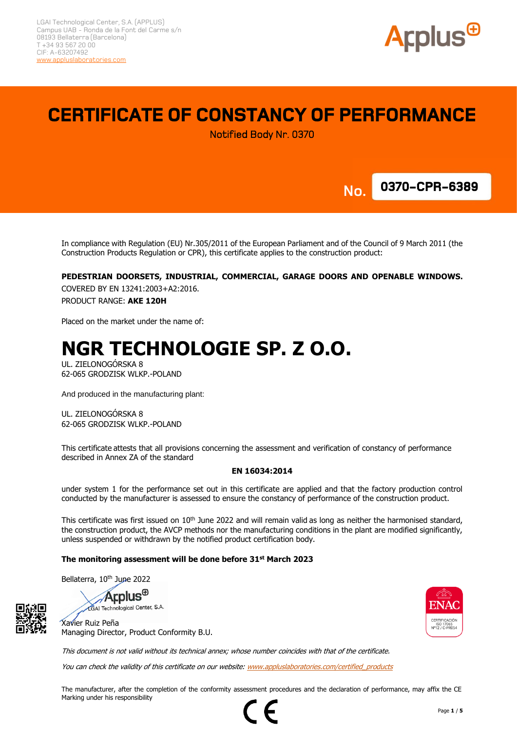

# **CERTIFICATE OF CONSTANCY OF PERFORMANCE**

Notified Body Nr. 0370



**No.**

In compliance with Regulation (EU) Nr.305/2011 of the European Parliament and of the Council of 9 March 2011 (the Construction Products Regulation or CPR), this certificate applies to the construction product:

#### **PEDESTRIAN DOORSETS, INDUSTRIAL, COMMERCIAL, GARAGE DOORS AND OPENABLE WINDOWS.**

COVERED BY EN 13241:2003+A2:2016. PRODUCT RANGE: **AKE 120H**

Placed on the market under the name of:

# **NGR TECHNOLOGIE SP. Z O.O.**

UL. ZIELONOGÓRSKA 8 62-065 GRODZISK WLKP.-POLAND

And produced in the manufacturing plant:

UL. ZIELONOGÓRSKA 8 62-065 GRODZISK WLKP.-POLAND

This certificate attests that all provisions concerning the assessment and verification of constancy of performance described in Annex ZA of the standard

#### **EN 16034:2014**

under system 1 for the performance set out in this certificate are applied and that the factory production control conducted by the manufacturer is assessed to ensure the constancy of performance of the construction product.

This certificate was first issued on 10<sup>th</sup> June 2022 and will remain valid as long as neither the harmonised standard, the construction product, the AVCP methods nor the manufacturing conditions in the plant are modified significantly, unless suspended or withdrawn by the notified product certification body.

#### **The monitoring assessment will be done before 31st March 2023**

Bellaterra, 10<sup>th</sup> June 2022

**Applus**<sup>®</sup>

LGAI Technological Center, S.A. Xavier Ruiz Peña



This document is not valid without its technical annex; whose number coincides with that of the certificate.

You can check the validity of this certificate on our website[: www.appluslaboratories.com/certified\\_products](http://www.appluslaboratories.com/certified_products)

The manufacturer, after the completion of the conformity assessment procedures and the declaration of performance, may affix the CE Marking under his responsibility

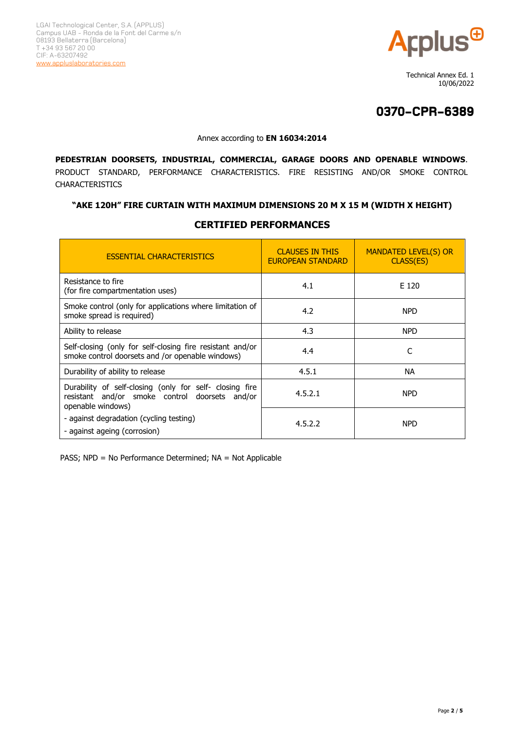

 Technical Annex Ed. 1 10/06/2022

# **0370-CPR-6389**

#### Annex according to **EN 16034:2014**

**PEDESTRIAN DOORSETS, INDUSTRIAL, COMMERCIAL, GARAGE DOORS AND OPENABLE WINDOWS**. PRODUCT STANDARD, PERFORMANCE CHARACTERISTICS. FIRE RESISTING AND/OR SMOKE CONTROL CHARACTERISTICS

### **"AKE 120H" FIRE CURTAIN WITH MAXIMUM DIMENSIONS 20 M X 15 M (WIDTH X HEIGHT)**

| <b>ESSENTIAL CHARACTERISTICS</b>                                                                                               | <b>CLAUSES IN THIS</b><br><b>EUROPEAN STANDARD</b> | <b>MANDATED LEVEL(S) OR</b><br>CLASS(ES) |
|--------------------------------------------------------------------------------------------------------------------------------|----------------------------------------------------|------------------------------------------|
| Resistance to fire<br>(for fire compartmentation uses)                                                                         | 4.1                                                | E 120                                    |
| Smoke control (only for applications where limitation of<br>smoke spread is required)                                          | 4.2                                                | <b>NPD</b>                               |
| Ability to release                                                                                                             | 4.3                                                | <b>NPD</b>                               |
| Self-closing (only for self-closing fire resistant and/or<br>smoke control doorsets and /or openable windows)                  | 4.4                                                | C                                        |
| Durability of ability to release                                                                                               | 4.5.1                                              | NA.                                      |
| Durability of self-closing (only for self- closing fire<br>resistant and/or smoke control doorsets and/or<br>openable windows) | 4.5.2.1                                            | <b>NPD</b>                               |
| - against degradation (cycling testing)<br>- against ageing (corrosion)                                                        | 4.5.2.2                                            | <b>NPD</b>                               |

### **CERTIFIED PERFORMANCES**  $\mathbf{r}$

PASS; NPD = No Performance Determined; NA = Not Applicable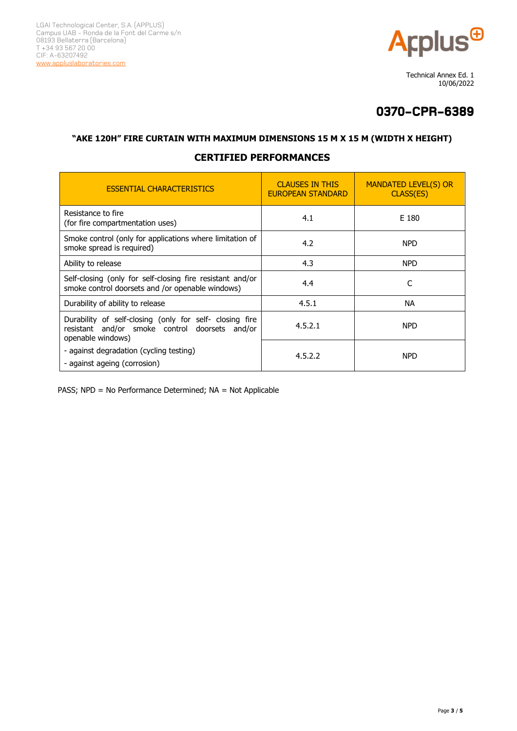

 Technical Annex Ed. 1 10/06/2022

# **0370-CPR-6389**

### **"AKE 120H" FIRE CURTAIN WITH MAXIMUM DIMENSIONS 15 M X 15 M (WIDTH X HEIGHT)**

## **CERTIFIED PERFORMANCES**

| <b>ESSENTIAL CHARACTERISTICS</b>                                                                                               | <b>CLAUSES IN THIS</b><br><b>EUROPEAN STANDARD</b> | <b>MANDATED LEVEL(S) OR</b><br>CLASS(ES) |
|--------------------------------------------------------------------------------------------------------------------------------|----------------------------------------------------|------------------------------------------|
| Resistance to fire<br>(for fire compartmentation uses)                                                                         | 4.1                                                | E 180                                    |
| Smoke control (only for applications where limitation of<br>smoke spread is required)                                          | 4.2                                                | <b>NPD</b>                               |
| Ability to release                                                                                                             | 4.3                                                | <b>NPD</b>                               |
| Self-closing (only for self-closing fire resistant and/or<br>smoke control doorsets and /or openable windows)                  | 4.4                                                | C                                        |
| Durability of ability to release                                                                                               | 4.5.1                                              | NA.                                      |
| Durability of self-closing (only for self- closing fire<br>resistant and/or smoke control doorsets and/or<br>openable windows) | 4.5.2.1                                            | <b>NPD</b>                               |
| - against degradation (cycling testing)<br>- against ageing (corrosion)                                                        | 4.5.2.2                                            | <b>NPD</b>                               |

PASS; NPD = No Performance Determined; NA = Not Applicable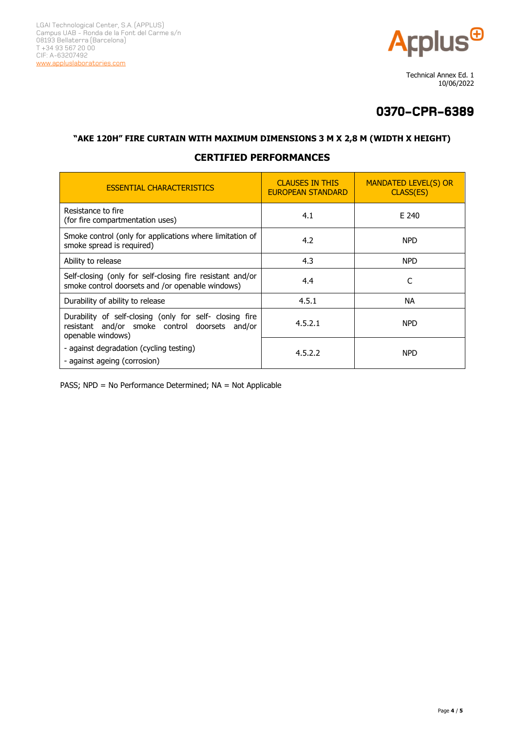

 Technical Annex Ed. 1 10/06/2022

# **0370-CPR-6389**

### **"AKE 120H" FIRE CURTAIN WITH MAXIMUM DIMENSIONS 3 M X 2,8 M (WIDTH X HEIGHT)**

## **CERTIFIED PERFORMANCES**

| <b>ESSENTIAL CHARACTERISTICS</b>                                                                                               | <b>CLAUSES IN THIS</b><br><b>EUROPEAN STANDARD</b> | <b>MANDATED LEVEL(S) OR</b><br>CLASS(ES) |
|--------------------------------------------------------------------------------------------------------------------------------|----------------------------------------------------|------------------------------------------|
| Resistance to fire<br>(for fire compartmentation uses)                                                                         | 4.1                                                | E 240                                    |
| Smoke control (only for applications where limitation of<br>smoke spread is required)                                          | 4.2                                                | <b>NPD</b>                               |
| Ability to release                                                                                                             | 4.3                                                | <b>NPD</b>                               |
| Self-closing (only for self-closing fire resistant and/or<br>smoke control doorsets and /or openable windows)                  | 4.4                                                | C                                        |
| Durability of ability to release                                                                                               | 4.5.1                                              | <b>NA</b>                                |
| Durability of self-closing (only for self- closing fire<br>resistant and/or smoke control doorsets and/or<br>openable windows) | 4.5.2.1                                            | <b>NPD</b>                               |
| - against degradation (cycling testing)<br>- against ageing (corrosion)                                                        | 4.5.2.2                                            | <b>NPD</b>                               |

PASS; NPD = No Performance Determined; NA = Not Applicable